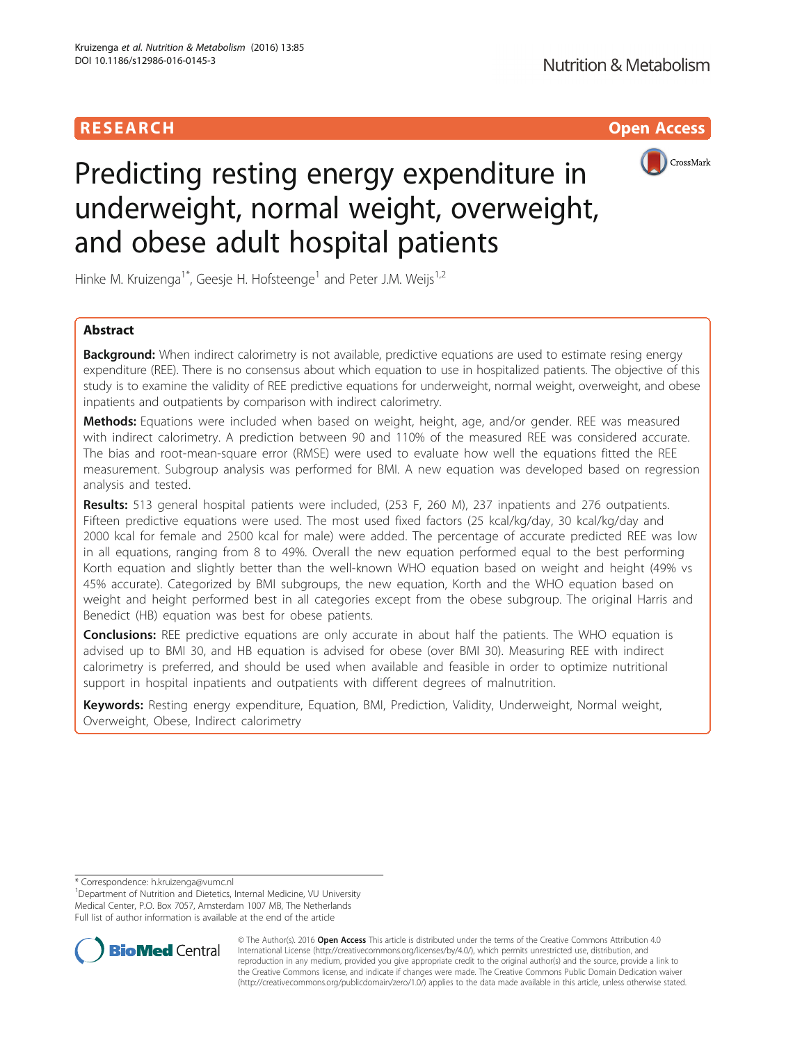# **RESEARCH CHE Open Access**



# Predicting resting energy expenditure in underweight, normal weight, overweight, and obese adult hospital patients

Hinke M. Kruizenga<sup>1\*</sup>, Geesje H. Hofsteenge<sup>1</sup> and Peter J.M. Weijs<sup>1,2</sup>

# Abstract

**Background:** When indirect calorimetry is not available, predictive equations are used to estimate resing energy expenditure (REE). There is no consensus about which equation to use in hospitalized patients. The objective of this study is to examine the validity of REE predictive equations for underweight, normal weight, overweight, and obese inpatients and outpatients by comparison with indirect calorimetry.

Methods: Equations were included when based on weight, height, age, and/or gender. REE was measured with indirect calorimetry. A prediction between 90 and 110% of the measured REE was considered accurate. The bias and root-mean-square error (RMSE) were used to evaluate how well the equations fitted the REE measurement. Subgroup analysis was performed for BMI. A new equation was developed based on regression analysis and tested.

Results: 513 general hospital patients were included, (253 F, 260 M), 237 inpatients and 276 outpatients. Fifteen predictive equations were used. The most used fixed factors (25 kcal/kg/day, 30 kcal/kg/day and 2000 kcal for female and 2500 kcal for male) were added. The percentage of accurate predicted REE was low in all equations, ranging from 8 to 49%. Overall the new equation performed equal to the best performing Korth equation and slightly better than the well-known WHO equation based on weight and height (49% vs 45% accurate). Categorized by BMI subgroups, the new equation, Korth and the WHO equation based on weight and height performed best in all categories except from the obese subgroup. The original Harris and Benedict (HB) equation was best for obese patients.

**Conclusions:** REE predictive equations are only accurate in about half the patients. The WHO equation is advised up to BMI 30, and HB equation is advised for obese (over BMI 30). Measuring REE with indirect calorimetry is preferred, and should be used when available and feasible in order to optimize nutritional support in hospital inpatients and outpatients with different degrees of malnutrition.

Keywords: Resting energy expenditure, Equation, BMI, Prediction, Validity, Underweight, Normal weight, Overweight, Obese, Indirect calorimetry

\* Correspondence: [h.kruizenga@vumc.nl](mailto:h.kruizenga@vumc.nl) <sup>1</sup>

<sup>1</sup>Department of Nutrition and Dietetics, Internal Medicine, VU University Medical Center, P.O. Box 7057, Amsterdam 1007 MB, The Netherlands Full list of author information is available at the end of the article



© The Author(s). 2016 Open Access This article is distributed under the terms of the Creative Commons Attribution 4.0 International License [\(http://creativecommons.org/licenses/by/4.0/](http://creativecommons.org/licenses/by/4.0/)), which permits unrestricted use, distribution, and reproduction in any medium, provided you give appropriate credit to the original author(s) and the source, provide a link to the Creative Commons license, and indicate if changes were made. The Creative Commons Public Domain Dedication waiver [\(http://creativecommons.org/publicdomain/zero/1.0/](http://creativecommons.org/publicdomain/zero/1.0/)) applies to the data made available in this article, unless otherwise stated.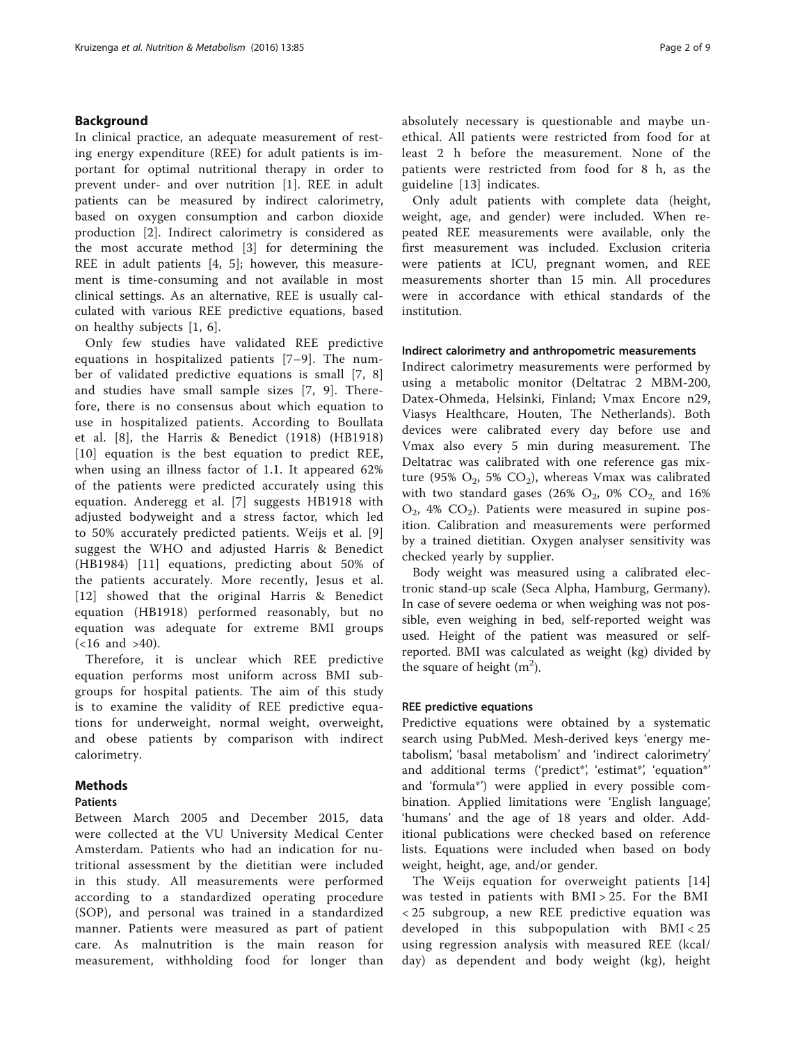## Background

In clinical practice, an adequate measurement of resting energy expenditure (REE) for adult patients is important for optimal nutritional therapy in order to prevent under- and over nutrition [\[1](#page-8-0)]. REE in adult patients can be measured by indirect calorimetry, based on oxygen consumption and carbon dioxide production [[2\]](#page-8-0). Indirect calorimetry is considered as the most accurate method [[3\]](#page-8-0) for determining the REE in adult patients [[4](#page-8-0), [5\]](#page-8-0); however, this measurement is time-consuming and not available in most clinical settings. As an alternative, REE is usually calculated with various REE predictive equations, based on healthy subjects [[1, 6](#page-8-0)].

Only few studies have validated REE predictive equations in hospitalized patients [[7](#page-8-0)–[9\]](#page-8-0). The number of validated predictive equations is small [[7, 8](#page-8-0)] and studies have small sample sizes [[7, 9](#page-8-0)]. Therefore, there is no consensus about which equation to use in hospitalized patients. According to Boullata et al. [[8](#page-8-0)], the Harris & Benedict (1918) (HB1918) [[10](#page-8-0)] equation is the best equation to predict REE, when using an illness factor of 1.1. It appeared 62% of the patients were predicted accurately using this equation. Anderegg et al. [[7\]](#page-8-0) suggests HB1918 with adjusted bodyweight and a stress factor, which led to 50% accurately predicted patients. Weijs et al. [\[9](#page-8-0)] suggest the WHO and adjusted Harris & Benedict (HB1984) [[11\]](#page-8-0) equations, predicting about 50% of the patients accurately. More recently, Jesus et al. [[12](#page-8-0)] showed that the original Harris & Benedict equation (HB1918) performed reasonably, but no equation was adequate for extreme BMI groups  $(<16$  and  $>40$ ).

Therefore, it is unclear which REE predictive equation performs most uniform across BMI subgroups for hospital patients. The aim of this study is to examine the validity of REE predictive equations for underweight, normal weight, overweight, and obese patients by comparison with indirect calorimetry.

### Methods

### **Patients**

Between March 2005 and December 2015, data were collected at the VU University Medical Center Amsterdam. Patients who had an indication for nutritional assessment by the dietitian were included in this study. All measurements were performed according to a standardized operating procedure (SOP), and personal was trained in a standardized manner. Patients were measured as part of patient care. As malnutrition is the main reason for measurement, withholding food for longer than absolutely necessary is questionable and maybe unethical. All patients were restricted from food for at least 2 h before the measurement. None of the patients were restricted from food for 8 h, as the guideline [\[13\]](#page-8-0) indicates.

Only adult patients with complete data (height, weight, age, and gender) were included. When repeated REE measurements were available, only the first measurement was included. Exclusion criteria were patients at ICU, pregnant women, and REE measurements shorter than 15 min. All procedures were in accordance with ethical standards of the institution.

### Indirect calorimetry and anthropometric measurements

Indirect calorimetry measurements were performed by using a metabolic monitor (Deltatrac 2 MBM-200, Datex-Ohmeda, Helsinki, Finland; Vmax Encore n29, Viasys Healthcare, Houten, The Netherlands). Both devices were calibrated every day before use and Vmax also every 5 min during measurement. The Deltatrac was calibrated with one reference gas mixture (95%  $O_2$ , 5%  $CO_2$ ), whereas Vmax was calibrated with two standard gases (26%  $O_2$ , 0%  $CO_2$  and 16%  $O_2$ , 4%  $CO_2$ ). Patients were measured in supine position. Calibration and measurements were performed by a trained dietitian. Oxygen analyser sensitivity was checked yearly by supplier.

Body weight was measured using a calibrated electronic stand-up scale (Seca Alpha, Hamburg, Germany). In case of severe oedema or when weighing was not possible, even weighing in bed, self-reported weight was used. Height of the patient was measured or selfreported. BMI was calculated as weight (kg) divided by the square of height  $(m<sup>2</sup>)$ .

### REE predictive equations

Predictive equations were obtained by a systematic search using PubMed. Mesh-derived keys 'energy metabolism', 'basal metabolism' and 'indirect calorimetry' and additional terms ('predict\*', 'estimat\*', 'equation\*' and 'formula\*') were applied in every possible combination. Applied limitations were 'English language', 'humans' and the age of 18 years and older. Additional publications were checked based on reference lists. Equations were included when based on body weight, height, age, and/or gender.

The Weijs equation for overweight patients [[14](#page-8-0)] was tested in patients with BMI > 25. For the BMI < 25 subgroup, a new REE predictive equation was developed in this subpopulation with BMI < 25 using regression analysis with measured REE (kcal/ day) as dependent and body weight (kg), height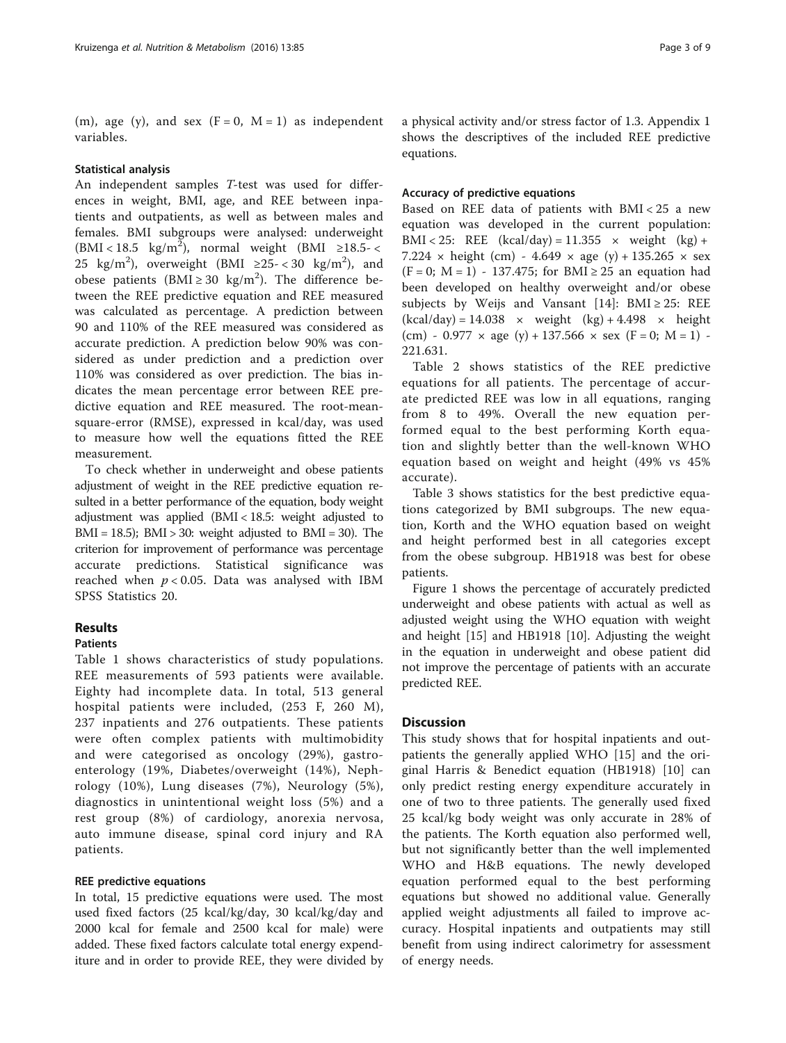(m), age (y), and sex  $(F = 0, M = 1)$  as independent variables.

### Statistical analysis

An independent samples T-test was used for differences in weight, BMI, age, and REE between inpatients and outpatients, as well as between males and females. BMI subgroups were analysed: underweight  $(BMI < 18.5 \text{ kg/m}^2)$ , normal weight  $(BMI \ge 18.5 - 10^{10})$ 25 kg/m<sup>2</sup>), overweight (BMI  $\geq$ 25- < 30 kg/m<sup>2</sup>), and obese patients (BMI ≥ 30 kg/m<sup>2</sup>). The difference between the REE predictive equation and REE measured was calculated as percentage. A prediction between 90 and 110% of the REE measured was considered as accurate prediction. A prediction below 90% was considered as under prediction and a prediction over 110% was considered as over prediction. The bias indicates the mean percentage error between REE predictive equation and REE measured. The root-meansquare-error (RMSE), expressed in kcal/day, was used to measure how well the equations fitted the REE measurement.

To check whether in underweight and obese patients adjustment of weight in the REE predictive equation resulted in a better performance of the equation, body weight adjustment was applied (BMI < 18.5: weight adjusted to  $BMI = 18.5$ ;  $BMI > 30$ : weight adjusted to  $BMI = 30$ . The criterion for improvement of performance was percentage accurate predictions. Statistical significance was reached when  $p < 0.05$ . Data was analysed with IBM SPSS Statistics 20.

# Results

# **Patients**

Table [1](#page-3-0) shows characteristics of study populations. REE measurements of 593 patients were available. Eighty had incomplete data. In total, 513 general hospital patients were included, (253 F, 260 M), 237 inpatients and 276 outpatients. These patients were often complex patients with multimobidity and were categorised as oncology (29%), gastroenterology (19%, Diabetes/overweight (14%), Nephrology (10%), Lung diseases (7%), Neurology (5%), diagnostics in unintentional weight loss (5%) and a rest group (8%) of cardiology, anorexia nervosa, auto immune disease, spinal cord injury and RA patients.

### REE predictive equations

In total, 15 predictive equations were used. The most used fixed factors (25 kcal/kg/day, 30 kcal/kg/day and 2000 kcal for female and 2500 kcal for male) were added. These fixed factors calculate total energy expenditure and in order to provide REE, they were divided by a physical activity and/or stress factor of 1.3. [Appendix 1](#page-6-0) shows the descriptives of the included REE predictive equations.

### Accuracy of predictive equations

Based on REE data of patients with BMI < 25 a new equation was developed in the current population: BMI < 25: REE (kcal/day) = 11.355  $\times$  weight (kg) + 7.224  $\times$  height (cm) - 4.649  $\times$  age (y) + 135.265  $\times$  sex  $(F = 0; M = 1) - 137.475;$  for BMI  $\geq 25$  an equation had been developed on healthy overweight and/or obese subjects by Weijs and Vansant [[14\]](#page-8-0): BMI  $\geq$  25: REE  $(kcal/day) = 14.038 \times weight (kg) + 4.498 \times height$ (cm) - 0.977  $\times$  age (y) + 137.566  $\times$  sex (F = 0; M = 1) -221.631.

Table [2](#page-3-0) shows statistics of the REE predictive equations for all patients. The percentage of accurate predicted REE was low in all equations, ranging from 8 to 49%. Overall the new equation performed equal to the best performing Korth equation and slightly better than the well-known WHO equation based on weight and height (49% vs 45% accurate).

Table [3](#page-4-0) shows statistics for the best predictive equations categorized by BMI subgroups. The new equation, Korth and the WHO equation based on weight and height performed best in all categories except from the obese subgroup. HB1918 was best for obese patients.

Figure [1](#page-5-0) shows the percentage of accurately predicted underweight and obese patients with actual as well as adjusted weight using the WHO equation with weight and height [\[15](#page-8-0)] and HB1918 [\[10](#page-8-0)]. Adjusting the weight in the equation in underweight and obese patient did not improve the percentage of patients with an accurate predicted REE.

### **Discussion**

This study shows that for hospital inpatients and outpatients the generally applied WHO [[15\]](#page-8-0) and the original Harris & Benedict equation (HB1918) [[10\]](#page-8-0) can only predict resting energy expenditure accurately in one of two to three patients. The generally used fixed 25 kcal/kg body weight was only accurate in 28% of the patients. The Korth equation also performed well, but not significantly better than the well implemented WHO and H&B equations. The newly developed equation performed equal to the best performing equations but showed no additional value. Generally applied weight adjustments all failed to improve accuracy. Hospital inpatients and outpatients may still benefit from using indirect calorimetry for assessment of energy needs.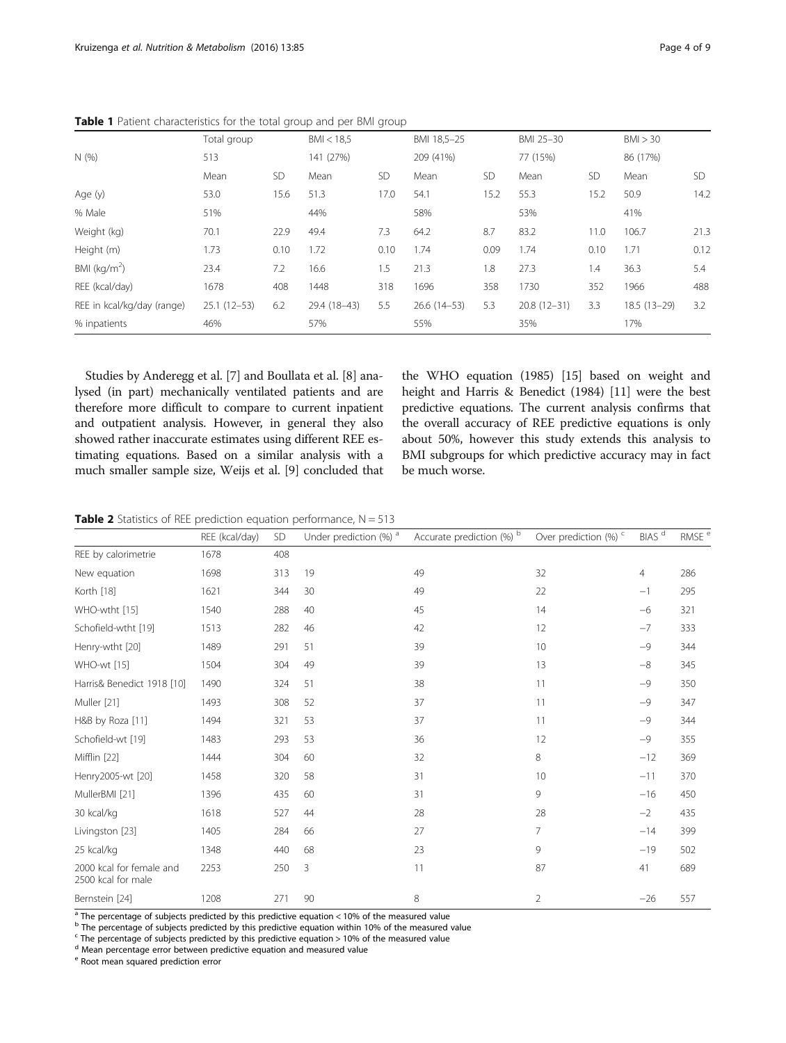|                            | Total group   |           | BM < 18.5    |           | BMI 18,5-25  |           | BMI 25-30     |      | BM > 30       |           |
|----------------------------|---------------|-----------|--------------|-----------|--------------|-----------|---------------|------|---------------|-----------|
| N(% )                      | 513           |           | 141 (27%)    |           | 209 (41%)    |           | 77 (15%)      |      | 86 (17%)      |           |
|                            | Mean          | <b>SD</b> | Mean         | <b>SD</b> | Mean         | <b>SD</b> | Mean          | SD   | Mean          | <b>SD</b> |
| Age (y)                    | 53.0          | 15.6      | 51.3         | 17.0      | 54.1         | 15.2      | 55.3          | 15.2 | 50.9          | 14.2      |
| % Male                     | 51%           |           | 44%          |           | 58%          |           | 53%           |      | 41%           |           |
| Weight (kg)                | 70.1          | 22.9      | 49.4         | 7.3       | 64.2         | 8.7       | 83.2          | 11.0 | 106.7         | 21.3      |
| Height (m)                 | 1.73          | 0.10      | 1.72         | 0.10      | 1.74         | 0.09      | 1.74          | 0.10 | 1.71          | 0.12      |
| BMI ( $kg/m2$ )            | 23.4          | 7.2       | 16.6         | 1.5       | 21.3         | 1.8       | 27.3          | 1.4  | 36.3          | 5.4       |
| REE (kcal/day)             | 1678          | 408       | 1448         | 318       | 1696         | 358       | 1730          | 352  | 1966          | 488       |
| REE in kcal/kg/day (range) | $25.1(12-53)$ | 6.2       | 29.4 (18-43) | 5.5       | 26.6 (14-53) | 5.3       | $20.8(12-31)$ | 3.3  | $18.5(13-29)$ | 3.2       |
| % inpatients               | 46%           |           | 57%          |           | 55%          |           | 35%           |      | 17%           |           |

<span id="page-3-0"></span>Table 1 Patient characteristics for the total group and per BMI group

Studies by Anderegg et al. [\[7](#page-8-0)] and Boullata et al. [\[8](#page-8-0)] analysed (in part) mechanically ventilated patients and are therefore more difficult to compare to current inpatient and outpatient analysis. However, in general they also showed rather inaccurate estimates using different REE estimating equations. Based on a similar analysis with a much smaller sample size, Weijs et al. [[9\]](#page-8-0) concluded that

the WHO equation (1985) [[15](#page-8-0)] based on weight and height and Harris & Benedict (1984) [\[11\]](#page-8-0) were the best predictive equations. The current analysis confirms that the overall accuracy of REE predictive equations is only about 50%, however this study extends this analysis to BMI subgroups for which predictive accuracy may in fact be much worse.

**Table 2** Statistics of REE prediction equation performance,  $N = 513$ 

|                                                | REE (kcal/day) | <b>SD</b> | Under prediction (%) <sup>a</sup> | Accurate prediction (%) b | Over prediction (%) <sup>c</sup> | BIAS <sup>d</sup> | RMSE <sup>e</sup> |
|------------------------------------------------|----------------|-----------|-----------------------------------|---------------------------|----------------------------------|-------------------|-------------------|
| REE by calorimetrie                            | 1678           | 408       |                                   |                           |                                  |                   |                   |
| New equation                                   | 1698           | 313       | 19                                | 49                        | 32                               | $\overline{4}$    | 286               |
| Korth [18]                                     | 1621           | 344       | 30                                | 49                        | 22                               | $-1$              | 295               |
| WHO-wtht [15]                                  | 1540           | 288       | 40                                | 45                        | 14                               | $-6$              | 321               |
| Schofield-wtht [19]                            | 1513           | 282       | 46                                | 42                        | 12                               | $-7$              | 333               |
| Henry-wtht [20]                                | 1489           | 291       | 51                                | 39                        | 10                               | $-9$              | 344               |
| <b>WHO-wt [15]</b>                             | 1504           | 304       | 49                                | 39                        | 13                               | $-8$              | 345               |
| Harris& Benedict 1918 [10]                     | 1490           | 324       | 51                                | 38                        | 11                               | $-9$              | 350               |
| Muller [21]                                    | 1493           | 308       | 52                                | 37                        | 11                               | $-9$              | 347               |
| H&B by Roza [11]                               | 1494           | 321       | 53                                | 37                        | 11                               | $-9$              | 344               |
| Schofield-wt [19]                              | 1483           | 293       | 53                                | 36                        | 12                               | $-9$              | 355               |
| Mifflin [22]                                   | 1444           | 304       | 60                                | 32                        | 8                                | $-12$             | 369               |
| Henry2005-wt [20]                              | 1458           | 320       | 58                                | 31                        | 10                               | $-11$             | 370               |
| MullerBMI [21]                                 | 1396           | 435       | 60                                | 31                        | 9                                | $-16$             | 450               |
| 30 kcal/kg                                     | 1618           | 527       | 44                                | 28                        | 28                               | $-2$              | 435               |
| Livingston [23]                                | 1405           | 284       | 66                                | 27                        | 7                                | $-14$             | 399               |
| 25 kcal/kg                                     | 1348           | 440       | 68                                | 23                        | 9                                | $-19$             | 502               |
| 2000 kcal for female and<br>2500 kcal for male | 2253           | 250       | 3                                 | 11                        | 87                               | 41                | 689               |
| Bernstein [24]                                 | 1208           | 271       | 90                                | 8                         | $\overline{2}$                   | $-26$             | 557               |

 $^{\text{a}}$  The percentage of subjects predicted by this predictive equation < 10% of the measured value

b The percentage of subjects predicted by this predictive equation within 10% of the measured value

 $\epsilon$  The percentage of subjects predicted by this predictive equation > 10% of the measured value

<sup>d</sup> Mean percentage error between predictive equation and measured value

<sup>e</sup> Root mean squared prediction error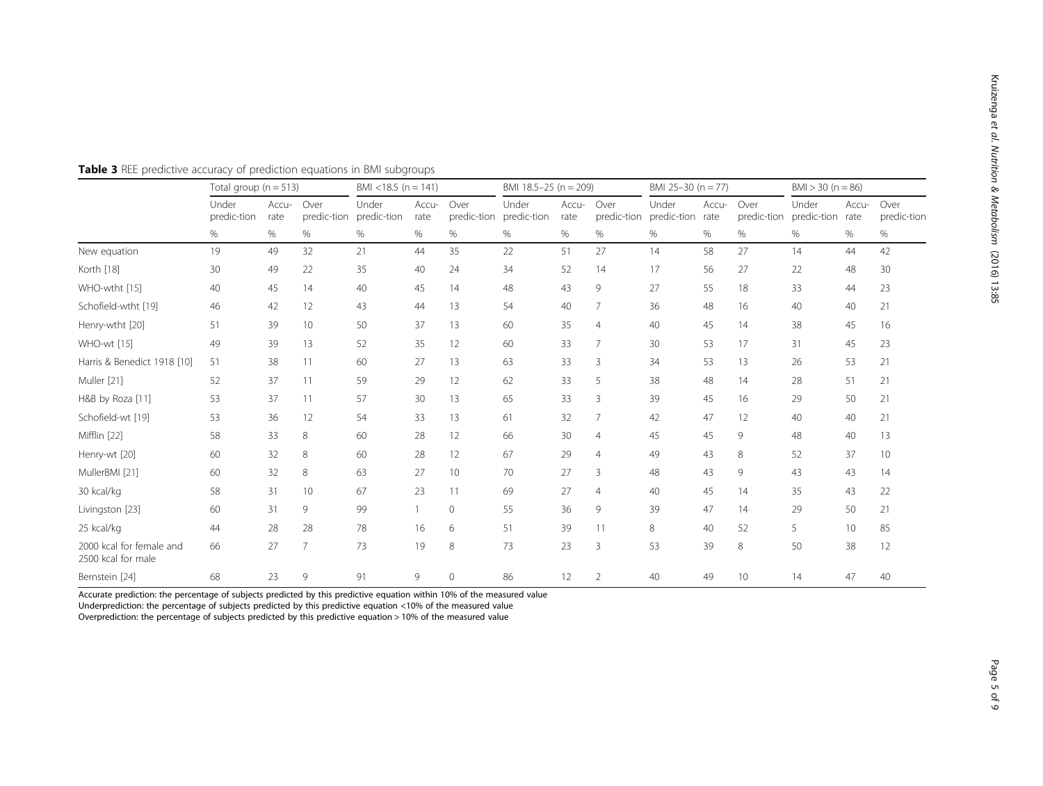|                                                | Total group $(n = 513)$ |               |                     | BMI <18.5 ( $n = 141$ ) |               | BMI $18.5 - 25$ (n = 209) |                                  | BMI 25-30 ( $n = 77$ ) |                |                                       | $BM > 30$ (n = 86) |                     |                           |       |                     |
|------------------------------------------------|-------------------------|---------------|---------------------|-------------------------|---------------|---------------------------|----------------------------------|------------------------|----------------|---------------------------------------|--------------------|---------------------|---------------------------|-------|---------------------|
|                                                | Under<br>predic-tion    | Accu-<br>rate | Over<br>predic-tion | Under<br>predic-tion    | Accu-<br>rate | Over                      | Under<br>predic-tion predic-tion | Accu-<br>rate          | Over           | Under<br>predic-tion predic-tion rate | Accu-              | Over<br>predic-tion | Under<br>predic-tion rate | Accu- | Over<br>predic-tion |
|                                                | %                       | %<br>%        |                     | $\%$                    | %             | %                         | %                                | %                      | %              | %                                     | %                  | %                   | %                         | %     | %                   |
| New equation                                   | 19                      | 49            | 32                  | 21                      | 44            | 35                        | 22                               | 51                     | 27             | 14                                    | 58                 | 27                  | 14                        | 44    | 42                  |
| Korth [18]                                     | 30                      | 49            | 22                  | 35                      | 40            | 24                        | 34                               | 52                     | 14             | 17                                    | 56                 | 27                  | 22                        | 48    | 30                  |
| WHO-wtht [15]                                  | 40                      | 45            | 14                  | 40                      | 45            | 14                        | 48                               | 43                     | 9              | 27                                    | 55                 | 18                  | 33                        | 44    | 23                  |
| Schofield-wtht [19]                            | 46                      | 42            | 12                  | 43                      | 44            | 13                        | 54                               | 40                     | 7              | 36                                    | 48                 | 16                  | 40 <sup>°</sup>           | 40    | 21                  |
| Henry-wtht [20]                                | 51                      | 39            | 10 <sup>°</sup>     | 50                      | 37            | 13                        | 60                               | 35                     | 4              | 40                                    | 45                 | 14                  | 38                        | 45    | 16                  |
| WHO-wt [15]                                    | 49                      | 39            | 13                  | 52                      | 35            | 12                        | 60                               | 33                     | 7              | 30                                    | 53                 | 17                  | 31                        | 45    | 23                  |
| Harris & Benedict 1918 [10]                    | 51                      | 38            | 11                  | 60                      | 27            | 13                        | 63                               | 33                     | 3              | 34                                    | 53                 | 13                  | 26                        | 53    | 21                  |
| Muller [21]                                    | 52                      | 37            | 11                  | 59                      | 29            | 12                        | 62                               | 33                     | 5              | 38                                    | 48                 | 14                  | 28                        | 51    | 21                  |
| H&B by Roza [11]                               | 53                      | 37            | 11                  | 57                      | 30            | 13                        | 65                               | 33                     | 3              | 39                                    | 45                 | 16                  | 29                        | 50    | 21                  |
| Schofield-wt [19]                              | 53                      | 36            | 12                  | 54                      | 33            | 13                        | 61                               | 32                     | 7              | 42                                    | 47                 | 12                  | 40                        | 40    | 21                  |
| Mifflin [22]                                   | 58                      | 33            | 8                   | 60                      | 28            | 12                        | 66                               | 30                     | $\overline{4}$ | 45                                    | 45                 | 9                   | 48                        | 40    | 13                  |
| Henry-wt [20]                                  | 60                      | 32            | 8                   | 60                      | 28            | 12                        | 67                               | 29                     | $\overline{4}$ | 49                                    | 43                 | 8                   | 52                        | 37    | 10 <sup>°</sup>     |
| MullerBMI [21]                                 | 60                      | 32            | 8                   | 63                      | 27            | 10                        | 70                               | 27                     | 3              | 48                                    | 43                 | 9                   | 43                        | 43    | 14                  |
| 30 kcal/kg                                     | 58                      | 31            | 10                  | 67                      | 23            | 11                        | 69                               | 27                     | $\overline{4}$ | 40                                    | 45                 | 14                  | 35                        | 43    | 22                  |
| Livingston [23]                                | 60                      | 31            | 9                   | 99                      |               | $\Omega$                  | 55                               | 36                     | 9              | 39                                    | 47                 | 14                  | 29                        | 50    | 21                  |
| 25 kcal/kg                                     | 44                      | 28            | 28                  | 78                      | 16            | 6                         | 51                               | 39                     | 11             | 8                                     | 40                 | 52                  | 5.                        | 10    | 85                  |
| 2000 kcal for female and<br>2500 kcal for male | 66                      | 27            | 7                   | 73                      | 19            | 8                         | 73                               | 23                     | 3              | 53                                    | 39                 | 8                   | 50                        | 38    | 12                  |
| Bernstein [24]                                 | 68                      | 23            | 9                   | 91                      | 9             | 0                         | 86                               | 12                     | 2              | 40                                    | 49                 | 10                  | 14                        | 47    | 40                  |

<span id="page-4-0"></span>Table 3 REE predictive accuracy of prediction equations in BMI subgroups

Accurate prediction: the percentage of subjects predicted by this predictive equation within 10% of the measured value

Underprediction: the percentage of subjects predicted by this predictive equation <10% of the measured value

Overprediction: the percentage of subjects predicted by this predictive equation > 10% of the measured value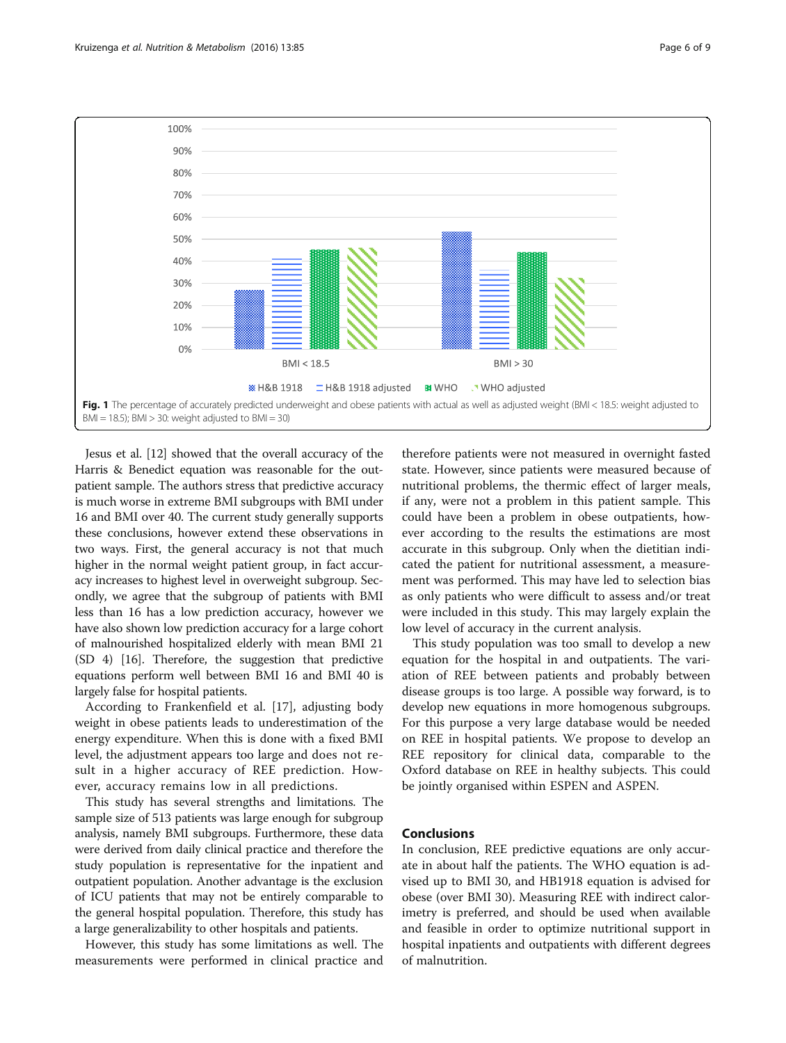<span id="page-5-0"></span>

Jesus et al. [\[12\]](#page-8-0) showed that the overall accuracy of the Harris & Benedict equation was reasonable for the outpatient sample. The authors stress that predictive accuracy is much worse in extreme BMI subgroups with BMI under 16 and BMI over 40. The current study generally supports these conclusions, however extend these observations in two ways. First, the general accuracy is not that much higher in the normal weight patient group, in fact accuracy increases to highest level in overweight subgroup. Secondly, we agree that the subgroup of patients with BMI less than 16 has a low prediction accuracy, however we have also shown low prediction accuracy for a large cohort of malnourished hospitalized elderly with mean BMI 21 (SD 4) [[16](#page-8-0)]. Therefore, the suggestion that predictive equations perform well between BMI 16 and BMI 40 is largely false for hospital patients.

According to Frankenfield et al. [\[17](#page-8-0)], adjusting body weight in obese patients leads to underestimation of the energy expenditure. When this is done with a fixed BMI level, the adjustment appears too large and does not result in a higher accuracy of REE prediction. However, accuracy remains low in all predictions.

This study has several strengths and limitations. The sample size of 513 patients was large enough for subgroup analysis, namely BMI subgroups. Furthermore, these data were derived from daily clinical practice and therefore the study population is representative for the inpatient and outpatient population. Another advantage is the exclusion of ICU patients that may not be entirely comparable to the general hospital population. Therefore, this study has a large generalizability to other hospitals and patients.

However, this study has some limitations as well. The measurements were performed in clinical practice and

therefore patients were not measured in overnight fasted state. However, since patients were measured because of nutritional problems, the thermic effect of larger meals, if any, were not a problem in this patient sample. This could have been a problem in obese outpatients, however according to the results the estimations are most accurate in this subgroup. Only when the dietitian indicated the patient for nutritional assessment, a measurement was performed. This may have led to selection bias as only patients who were difficult to assess and/or treat were included in this study. This may largely explain the low level of accuracy in the current analysis.

This study population was too small to develop a new equation for the hospital in and outpatients. The variation of REE between patients and probably between disease groups is too large. A possible way forward, is to develop new equations in more homogenous subgroups. For this purpose a very large database would be needed on REE in hospital patients. We propose to develop an REE repository for clinical data, comparable to the Oxford database on REE in healthy subjects. This could be jointly organised within ESPEN and ASPEN.

## Conclusions

In conclusion, REE predictive equations are only accurate in about half the patients. The WHO equation is advised up to BMI 30, and HB1918 equation is advised for obese (over BMI 30). Measuring REE with indirect calorimetry is preferred, and should be used when available and feasible in order to optimize nutritional support in hospital inpatients and outpatients with different degrees of malnutrition.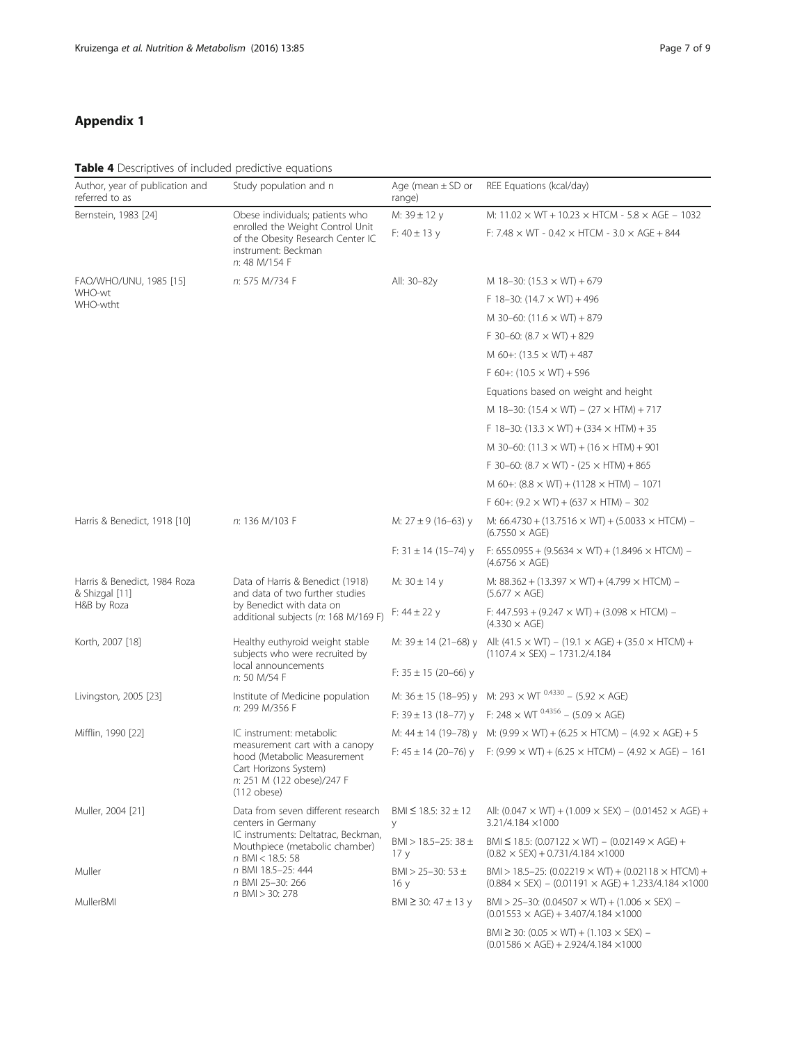# <span id="page-6-0"></span>Appendix 1

| Table 4 Descriptives of included predictive equations |  |  |  |
|-------------------------------------------------------|--|--|--|
|-------------------------------------------------------|--|--|--|

| Author, year of publication and<br>referred to as | Study population and n                                                                                        | Age (mean $\pm$ SD or<br>range)            | REE Equations (kcal/day)                                                                                                                      |  |  |  |  |
|---------------------------------------------------|---------------------------------------------------------------------------------------------------------------|--------------------------------------------|-----------------------------------------------------------------------------------------------------------------------------------------------|--|--|--|--|
| Bernstein, 1983 [24]                              | Obese individuals; patients who                                                                               | M: $39 \pm 12$ y                           | M: $11.02 \times WT + 10.23 \times HTCM - 5.8 \times AGE - 1032$                                                                              |  |  |  |  |
|                                                   | enrolled the Weight Control Unit<br>of the Obesity Research Center IC<br>instrument: Beckman<br>n: 48 M/154 F | $F: 40 \pm 13$ y                           | F: 7.48 $\times$ WT - 0.42 $\times$ HTCM - 3.0 $\times$ AGE + 844                                                                             |  |  |  |  |
| FAO/WHO/UNU, 1985 [15]                            | n: 575 M/734 F                                                                                                | All: 30-82y                                | M 18-30: $(15.3 \times W) + 679$                                                                                                              |  |  |  |  |
| WHO-wt<br>WHO-wtht                                |                                                                                                               |                                            | F 18-30: $(14.7 \times W) + 496$                                                                                                              |  |  |  |  |
|                                                   |                                                                                                               |                                            | M 30-60: $(11.6 \times W) + 879$                                                                                                              |  |  |  |  |
|                                                   |                                                                                                               |                                            | F 30-60: $(8.7 \times W) + 829$                                                                                                               |  |  |  |  |
|                                                   |                                                                                                               |                                            | M 60+: $(13.5 \times W) + 487$                                                                                                                |  |  |  |  |
|                                                   |                                                                                                               |                                            | $F$ 60+: (10.5 $\times$ WT) + 596                                                                                                             |  |  |  |  |
|                                                   |                                                                                                               |                                            | Equations based on weight and height                                                                                                          |  |  |  |  |
|                                                   |                                                                                                               |                                            | M 18-30: (15.4 $\times$ WT) – (27 $\times$ HTM) + 717                                                                                         |  |  |  |  |
|                                                   |                                                                                                               |                                            | F 18-30: $(13.3 \times W) + (334 \times H)$ + 35                                                                                              |  |  |  |  |
|                                                   |                                                                                                               |                                            | M 30-60: $(11.3 \times WT) + (16 \times HTM) + 901$                                                                                           |  |  |  |  |
|                                                   |                                                                                                               |                                            | F 30-60: (8.7 $\times$ WT) - (25 $\times$ HTM) + 865                                                                                          |  |  |  |  |
|                                                   |                                                                                                               |                                            | M 60+: $(8.8 \times W) + (1128 \times H)$ – 1071                                                                                              |  |  |  |  |
|                                                   |                                                                                                               |                                            | F 60+: (9.2 $\times$ WT) + (637 $\times$ HTM) - 302                                                                                           |  |  |  |  |
| Harris & Benedict, 1918 [10]                      | n: 136 M/103 F                                                                                                | M: $27 \pm 9$ (16-63) y                    | M: $66.4730 + (13.7516 \times WT) + (5.0033 \times HTCM) -$<br>$(6.7550 \times AGE)$                                                          |  |  |  |  |
|                                                   |                                                                                                               | F: $31 \pm 14$ (15-74) y                   | F: 655.0955 + (9.5634 $\times$ WT) + (1.8496 $\times$ HTCM) –<br>$(4.6756 \times AGE)$                                                        |  |  |  |  |
| Harris & Benedict, 1984 Roza<br>& Shizgal [11]    | Data of Harris & Benedict (1918)<br>and data of two further studies                                           | M: $30 \pm 14$ y                           | M: $88.362 + (13.397 \times WT) + (4.799 \times HTCM) -$<br>$(5.677 \times AGE)$                                                              |  |  |  |  |
| H&B by Roza                                       | by Benedict with data on<br>additional subjects (n: 168 M/169 F)                                              | $F: 44 \pm 22$ y                           | F: 447.593 + (9.247 $\times$ WT) + (3.098 $\times$ HTCM) –<br>$(4.330 \times AGE)$                                                            |  |  |  |  |
| Korth, 2007 [18]                                  | Healthy euthyroid weight stable<br>subjects who were recruited by                                             |                                            | M: $39 \pm 14$ (21-68) y All: (41.5 x WT) - (19.1 x AGE) + (35.0 x HTCM) +<br>$(1107.4 \times SEX) - 1731.2/4.184$                            |  |  |  |  |
|                                                   | local announcements<br>n: 50 M/54 F                                                                           | F: $35 \pm 15$ (20-66) y                   |                                                                                                                                               |  |  |  |  |
| Livingston, 2005 [23]                             | Institute of Medicine population<br>n: 299 M/356 F                                                            |                                            | M: $36 \pm 15$ (18-95) y M: $293 \times WT$ <sup>0.4330</sup> - (5.92 $\times$ AGE)                                                           |  |  |  |  |
|                                                   |                                                                                                               |                                            | F: $39 \pm 13$ (18-77) y F: $248 \times W T^{0.4356} - (5.09 \times AGE)$                                                                     |  |  |  |  |
| Mifflin, 1990 [22]                                | IC instrument: metabolic<br>measurement cart with a canopy                                                    |                                            | M: $44 \pm 14$ (19-78) y M: (9.99 x WT) + (6.25 x HTCM) - (4.92 x AGE) + 5                                                                    |  |  |  |  |
|                                                   | hood (Metabolic Measurement<br>Cart Horizons System)<br>n: 251 M (122 obese)/247 F<br>$(112$ obese)           |                                            | F: $45 \pm 14$ (20-76) y F: (9.99 x WT) + (6.25 x HTCM) - (4.92 x AGE) - 161                                                                  |  |  |  |  |
| Muller, 2004 [21]                                 | Data from seven different research<br>centers in Germany                                                      | BMI $\leq$ 18.5: 32 $\pm$ 12<br>У          | All: $(0.047 \times WT) + (1.009 \times SEX) - (0.01452 \times AGE) +$<br>3.21/4.184 ×1000                                                    |  |  |  |  |
|                                                   | IC instruments: Deltatrac, Beckman,<br>Mouthpiece (metabolic chamber)<br>n BMI < 18.5: 58                     | BMI > 18.5-25: 38 $\pm$<br>17 <sub>y</sub> | BMI $\leq$ 18.5: (0.07122 $\times$ WT) – (0.02149 $\times$ AGE) +<br>$(0.82 \times$ SEX) + 0.731/4.184 $\times$ 1000                          |  |  |  |  |
| Muller                                            | n BMI 18.5-25: 444<br>n BMI 25-30: 266                                                                        | BMI > 25-30: 53 $\pm$<br>16y               | BMI > 18.5–25: (0.02219 $\times$ WT) + (0.02118 $\times$ HTCM) +<br>$(0.884 \times$ SEX) - $(0.01191 \times$ AGE) + 1.233/4.184 $\times$ 1000 |  |  |  |  |
| MullerBMI                                         | n BMI > 30: 278                                                                                               | BMI ≥ 30: 47 $\pm$ 13 y                    | $BMl > 25-30$ : (0.04507 $\times$ WT) + (1.006 $\times$ SEX) –<br>$(0.01553 \times \text{AGE}) + 3.407/4.184 \times 1000$                     |  |  |  |  |
|                                                   |                                                                                                               |                                            | BMI $\geq$ 30: (0.05 $\times$ WT) + (1.103 $\times$ SEX) –<br>$(0.01586 \times \text{AGE}) + 2.924/4.184 \times 1000$                         |  |  |  |  |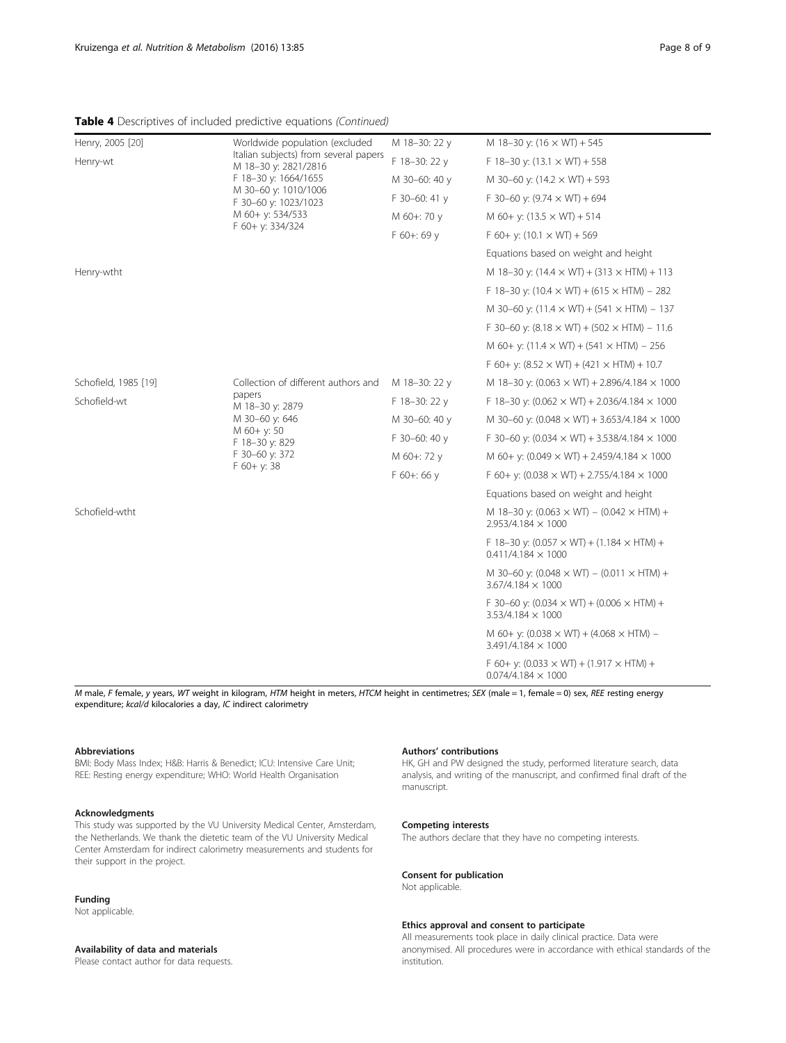Table 4 Descriptives of included predictive equations (Continued)

| Henry, 2005 [20]     | Worldwide population (excluded               | M 18-30: 22 y | M 18-30 y: (16 × WT) + 545                                                           |
|----------------------|----------------------------------------------|---------------|--------------------------------------------------------------------------------------|
| Henry-wt             | Italian subjects) from several papers        | F 18-30: 22 y | F 18-30 y: $(13.1 \times W) + 558$                                                   |
|                      | M 18-30 y: 2821/2816<br>F 18-30 y: 1664/1655 | M 30-60: 40 y | M 30-60 y: $(14.2 \times W) + 593$                                                   |
|                      | M 30-60 y: 1010/1006<br>F 30-60 y: 1023/1023 | F 30-60: 41 y | F 30-60 y: (9.74 $\times$ WT) + 694                                                  |
|                      | M 60+ y: 534/533                             | M 60+: 70 y   | M 60+ y: $(13.5 \times W) + 514$                                                     |
|                      | F 60+ y: 334/324                             | F 60+: 69 y   | F 60+ y: $(10.1 \times WT) + 569$                                                    |
|                      |                                              |               | Equations based on weight and height                                                 |
| Henry-wtht           |                                              |               | M 18-30 y: $(14.4 \times W) + (313 \times H) + 113$                                  |
|                      |                                              |               | F 18-30 y: $(10.4 \times WT) + (615 \times HTM) - 282$                               |
|                      |                                              |               | M 30-60 y: $(11.4 \times W) + (541 \times H) - 137$                                  |
|                      |                                              |               | F 30-60 y: $(8.18 \times W) + (502 \times H)$ - 11.6                                 |
|                      |                                              |               | M 60+ y: $(11.4 \times W) + (541 \times H) - 256$                                    |
|                      |                                              |               | F 60+ y: $(8.52 \times W) + (421 \times H) + 10.7$                                   |
| Schofield, 1985 [19] | Collection of different authors and          | M 18-30: 22 y | M 18-30 y: (0.063 × WT) + 2.896/4.184 × 1000                                         |
| Schofield-wt         | papers<br>M 18-30 y: 2879                    | F 18-30: 22 y | F 18-30 y: (0.062 $\times$ WT) + 2.036/4.184 $\times$ 1000                           |
|                      | M 30-60 y: 646                               | M 30-60: 40 y | M 30-60 y: (0.048 $\times$ WT) + 3.653/4.184 $\times$ 1000                           |
|                      | M 60+ y: 50<br>F 18-30 y: 829                | F 30-60: 40 y | F 30-60 y: (0.034 $\times$ WT) + 3.538/4.184 $\times$ 1000                           |
|                      | F 30-60 y: 372                               | M 60+: 72 y   | M 60+ y: $(0.049 \times WT) + 2.459/4.184 \times 1000$                               |
|                      | $F$ 60+ y: 38                                | F 60+: 66 y   | F 60+ y: (0.038 $\times$ WT) + 2.755/4.184 $\times$ 1000                             |
|                      |                                              |               | Equations based on weight and height                                                 |
| Schofield-wtht       |                                              |               | M 18-30 y: (0.063 $\times$ WT) - (0.042 $\times$ HTM) +<br>$2.953/4.184 \times 1000$ |
|                      |                                              |               | F 18-30 y: (0.057 $\times$ WT) + (1.184 $\times$ HTM) +<br>$0.411/4.184 \times 1000$ |
|                      |                                              |               | M 30-60 y: $(0.048 \times WT) - (0.011 \times HTM) +$<br>$3.67/4.184 \times 1000$    |
|                      |                                              |               | F 30-60 y: (0.034 $\times$ WT) + (0.006 $\times$ HTM) +<br>$3.53/4.184 \times 1000$  |
|                      |                                              |               | M 60+ y: $(0.038 \times WT) + (4.068 \times HTM) -$<br>$3.491/4.184 \times 1000$     |
|                      |                                              |               | F 60+ y: $(0.033 \times WT) + (1.917 \times HTM) +$<br>$0.074/4.184 \times 1000$     |

M male, F female, y years, WT weight in kilogram, HTM height in meters, HTCM height in centimetres; SEX (male = 1, female = 0) sex, REE resting energy expenditure; kcal/d kilocalories a day, IC indirect calorimetry

### Abbreviations

BMI: Body Mass Index; H&B: Harris & Benedict; ICU: Intensive Care Unit; REE: Resting energy expenditure; WHO: World Health Organisation

### Acknowledgments

This study was supported by the VU University Medical Center, Amsterdam, the Netherlands. We thank the dietetic team of the VU University Medical Center Amsterdam for indirect calorimetry measurements and students for their support in the project.

### Funding

Not applicable.

# Availability of data and materials

Please contact author for data requests.

#### Authors' contributions

HK, GH and PW designed the study, performed literature search, data analysis, and writing of the manuscript, and confirmed final draft of the manuscript.

### Competing interests

The authors declare that they have no competing interests.

### Consent for publication

Not applicable.

### Ethics approval and consent to participate

All measurements took place in daily clinical practice. Data were anonymised. All procedures were in accordance with ethical standards of the institution.